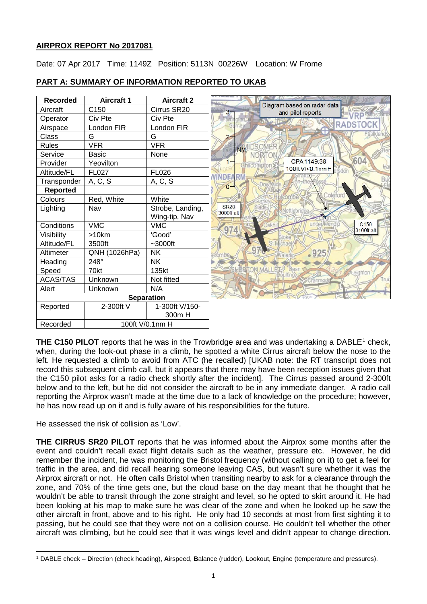# **AIRPROX REPORT No 2017081**

Date: 07 Apr 2017 Time: 1149Z Position: 5113N 00226W Location: W Frome



# **PART A: SUMMARY OF INFORMATION REPORTED TO UKAB**

**THE C[1](#page-0-0)50 PILOT** reports that he was in the Trowbridge area and was undertaking a DABLE<sup>1</sup> check. when, during the look-out phase in a climb, he spotted a white Cirrus aircraft below the nose to the left. He requested a climb to avoid from ATC (he recalled) [UKAB note: the RT transcript does not record this subsequent climb call, but it appears that there may have been reception issues given that the C150 pilot asks for a radio check shortly after the incident]. The Cirrus passed around 2-300ft below and to the left, but he did not consider the aircraft to be in any immediate danger. A radio call reporting the Airprox wasn't made at the time due to a lack of knowledge on the procedure; however, he has now read up on it and is fully aware of his responsibilities for the future.

He assessed the risk of collision as 'Low'.

**THE CIRRUS SR20 PILOT** reports that he was informed about the Airprox some months after the event and couldn't recall exact flight details such as the weather, pressure etc. However, he did remember the incident, he was monitoring the Bristol frequency (without calling on it) to get a feel for traffic in the area, and did recall hearing someone leaving CAS, but wasn't sure whether it was the Airprox aircraft or not. He often calls Bristol when transiting nearby to ask for a clearance through the zone, and 70% of the time gets one, but the cloud base on the day meant that he thought that he wouldn't be able to transit through the zone straight and level, so he opted to skirt around it. He had been looking at his map to make sure he was clear of the zone and when he looked up he saw the other aircraft in front, above and to his right. He only had 10 seconds at most from first sighting it to passing, but he could see that they were not on a collision course. He couldn't tell whether the other aircraft was climbing, but he could see that it was wings level and didn't appear to change direction.

<span id="page-0-0"></span> $\overline{\phantom{a}}$ <sup>1</sup> DABLE check – **D**irection (check heading), **A**irspeed, **B**alance (rudder), **L**ookout, **E**ngine (temperature and pressures).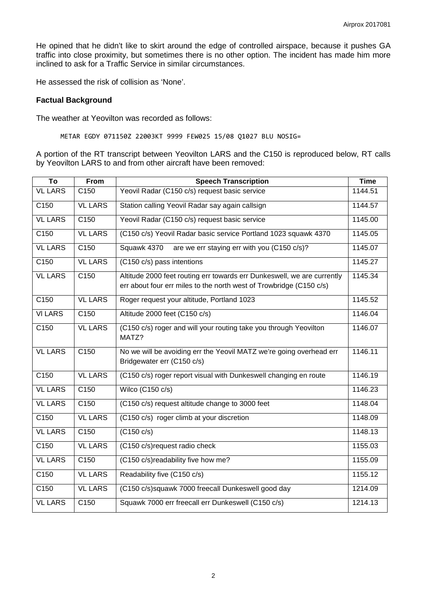He opined that he didn't like to skirt around the edge of controlled airspace, because it pushes GA traffic into close proximity, but sometimes there is no other option. The incident has made him more inclined to ask for a Traffic Service in similar circumstances.

He assessed the risk of collision as 'None'.

#### **Factual Background**

The weather at Yeovilton was recorded as follows:

METAR EGDY 071150Z 22003KT 9999 FEW025 15/08 Q1027 BLU NOSIG=

A portion of the RT transcript between Yeovilton LARS and the C150 is reproduced below, RT calls by Yeovilton LARS to and from other aircraft have been removed:

| To               | <b>From</b>      | <b>Speech Transcription</b>                                                                                                                    | <b>Time</b> |
|------------------|------------------|------------------------------------------------------------------------------------------------------------------------------------------------|-------------|
| <b>VL LARS</b>   | C <sub>150</sub> | Yeovil Radar (C150 c/s) request basic service                                                                                                  | 1144.51     |
| C150             | <b>VL LARS</b>   | Station calling Yeovil Radar say again callsign                                                                                                | 1144.57     |
| <b>VL LARS</b>   | C <sub>150</sub> | Yeovil Radar (C150 c/s) request basic service                                                                                                  | 1145.00     |
| C150             | <b>VL LARS</b>   | (C150 c/s) Yeovil Radar basic service Portland 1023 squawk 4370                                                                                | 1145.05     |
| <b>VL LARS</b>   | C150             | Squawk 4370<br>are we err staying err with you (C150 c/s)?                                                                                     | 1145.07     |
| C <sub>150</sub> | <b>VL LARS</b>   | (C150 c/s) pass intentions                                                                                                                     | 1145.27     |
| <b>VL LARS</b>   | C150             | Altitude 2000 feet routing err towards err Dunkeswell, we are currently<br>err about four err miles to the north west of Trowbridge (C150 c/s) | 1145.34     |
| C <sub>150</sub> | <b>VL LARS</b>   | Roger request your altitude, Portland 1023                                                                                                     | 1145.52     |
| <b>VILARS</b>    | C <sub>150</sub> | Altitude 2000 feet (C150 c/s)                                                                                                                  | 1146.04     |
| C150             | <b>VL LARS</b>   | (C150 c/s) roger and will your routing take you through Yeovilton<br>MATZ?                                                                     | 1146.07     |
| <b>VL LARS</b>   | C150             | No we will be avoiding err the Yeovil MATZ we're going overhead err<br>Bridgewater err (C150 c/s)                                              | 1146.11     |
| C <sub>150</sub> | <b>VL LARS</b>   | (C150 c/s) roger report visual with Dunkeswell changing en route                                                                               | 1146.19     |
| <b>VL LARS</b>   | C150             | Wilco (C150 c/s)                                                                                                                               | 1146.23     |
| <b>VL LARS</b>   | C150             | (C150 c/s) request altitude change to 3000 feet                                                                                                | 1148.04     |
| C150             | <b>VL LARS</b>   | $(C150 \text{ c/s})$ roger climb at your discretion                                                                                            | 1148.09     |
| <b>VL LARS</b>   | C150             | (C150 c/s)                                                                                                                                     | 1148.13     |
| C150             | <b>VL LARS</b>   | (C150 c/s) request radio check                                                                                                                 | 1155.03     |
| <b>VL LARS</b>   | C <sub>150</sub> | (C150 c/s)readability five how me?                                                                                                             | 1155.09     |
| C150             | <b>VL LARS</b>   | Readability five (C150 c/s)                                                                                                                    | 1155.12     |
| C <sub>150</sub> | <b>VL LARS</b>   | (C150 c/s)squawk 7000 freecall Dunkeswell good day                                                                                             | 1214.09     |
| <b>VL LARS</b>   | C150             | Squawk 7000 err freecall err Dunkeswell (C150 c/s)                                                                                             | 1214.13     |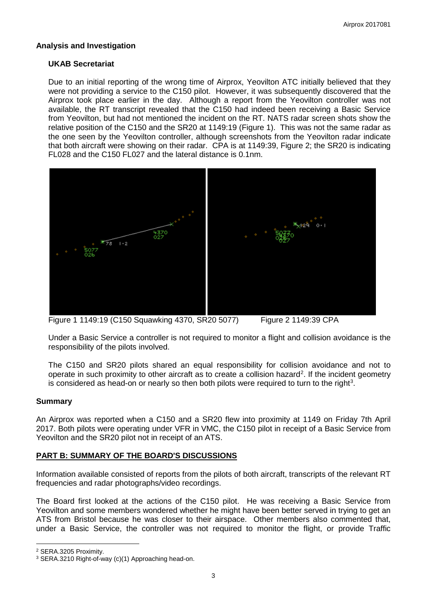## **Analysis and Investigation**

## **UKAB Secretariat**

Due to an initial reporting of the wrong time of Airprox, Yeovilton ATC initially believed that they were not providing a service to the C150 pilot. However, it was subsequently discovered that the Airprox took place earlier in the day. Although a report from the Yeovilton controller was not available, the RT transcript revealed that the C150 had indeed been receiving a Basic Service from Yeovilton, but had not mentioned the incident on the RT. NATS radar screen shots show the relative position of the C150 and the SR20 at 1149:19 (Figure 1). This was not the same radar as the one seen by the Yeovilton controller, although screenshots from the Yeovilton radar indicate that both aircraft were showing on their radar. CPA is at 1149:39, Figure 2; the SR20 is indicating FL028 and the C150 FL027 and the lateral distance is 0.1nm.



Figure 1 1149:19 (C150 Squawking 4370, SR20 5077) Figure 2 1149:39 CPA

Under a Basic Service a controller is not required to monitor a flight and collision avoidance is the responsibility of the pilots involved.

The C150 and SR20 pilots shared an equal responsibility for collision avoidance and not to operate in such proximity to other aircraft as to create a collision hazard<sup>[2](#page-2-0)</sup>. If the incident geometry is considered as head-on or nearly so then both pilots were required to turn to the right<sup>[3](#page-2-1)</sup>.

## **Summary**

An Airprox was reported when a C150 and a SR20 flew into proximity at 1149 on Friday 7th April 2017. Both pilots were operating under VFR in VMC, the C150 pilot in receipt of a Basic Service from Yeovilton and the SR20 pilot not in receipt of an ATS.

## **PART B: SUMMARY OF THE BOARD'S DISCUSSIONS**

Information available consisted of reports from the pilots of both aircraft, transcripts of the relevant RT frequencies and radar photographs/video recordings.

The Board first looked at the actions of the C150 pilot. He was receiving a Basic Service from Yeovilton and some members wondered whether he might have been better served in trying to get an ATS from Bristol because he was closer to their airspace. Other members also commented that, under a Basic Service, the controller was not required to monitor the flight, or provide Traffic

l

<span id="page-2-0"></span><sup>2</sup> SERA.3205 Proximity.

<span id="page-2-1"></span><sup>3</sup> SERA.3210 Right-of-way (c)(1) Approaching head-on.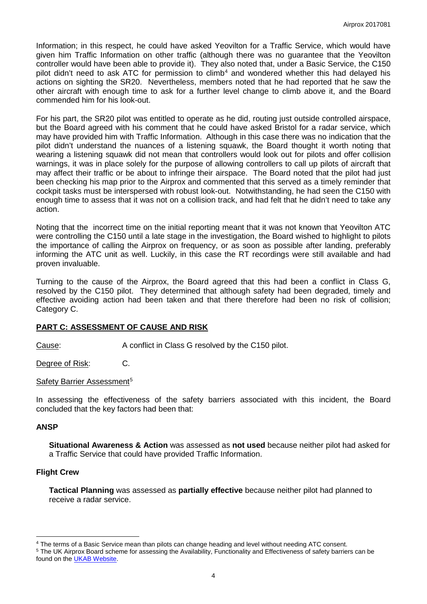Information; in this respect, he could have asked Yeovilton for a Traffic Service, which would have given him Traffic Information on other traffic (although there was no guarantee that the Yeovilton controller would have been able to provide it). They also noted that, under a Basic Service, the C150 pilot didn't need to ask ATC for permission to climb<sup>[4](#page-3-0)</sup> and wondered whether this had delayed his actions on sighting the SR20. Nevertheless, members noted that he had reported that he saw the other aircraft with enough time to ask for a further level change to climb above it, and the Board commended him for his look-out.

For his part, the SR20 pilot was entitled to operate as he did, routing just outside controlled airspace, but the Board agreed with his comment that he could have asked Bristol for a radar service, which may have provided him with Traffic Information. Although in this case there was no indication that the pilot didn't understand the nuances of a listening squawk, the Board thought it worth noting that wearing a listening squawk did not mean that controllers would look out for pilots and offer collision warnings, it was in place solely for the purpose of allowing controllers to call up pilots of aircraft that may affect their traffic or be about to infringe their airspace. The Board noted that the pilot had just been checking his map prior to the Airprox and commented that this served as a timely reminder that cockpit tasks must be interspersed with robust look-out. Notwithstanding, he had seen the C150 with enough time to assess that it was not on a collision track, and had felt that he didn't need to take any action.

Noting that the incorrect time on the initial reporting meant that it was not known that Yeovilton ATC were controlling the C150 until a late stage in the investigation, the Board wished to highlight to pilots the importance of calling the Airprox on frequency, or as soon as possible after landing, preferably informing the ATC unit as well. Luckily, in this case the RT recordings were still available and had proven invaluable.

Turning to the cause of the Airprox, the Board agreed that this had been a conflict in Class G, resolved by the C150 pilot. They determined that although safety had been degraded, timely and effective avoiding action had been taken and that there therefore had been no risk of collision; Category C.

## **PART C: ASSESSMENT OF CAUSE AND RISK**

Cause: A conflict in Class G resolved by the C150 pilot.

Degree of Risk: C.

#### Safety Barrier Assessment<sup>[5](#page-3-1)</sup>

In assessing the effectiveness of the safety barriers associated with this incident, the Board concluded that the key factors had been that:

#### **ANSP**

 $\overline{\phantom{a}}$ 

**Situational Awareness & Action** was assessed as **not used** because neither pilot had asked for a Traffic Service that could have provided Traffic Information.

## **Flight Crew**

**Tactical Planning** was assessed as **partially effective** because neither pilot had planned to receive a radar service.

<span id="page-3-0"></span><sup>4</sup> The terms of a Basic Service mean than pilots can change heading and level without needing ATC consent.

<span id="page-3-1"></span><sup>5</sup> The UK Airprox Board scheme for assessing the Availability, Functionality and Effectiveness of safety barriers can be found on the **UKAB Website**.